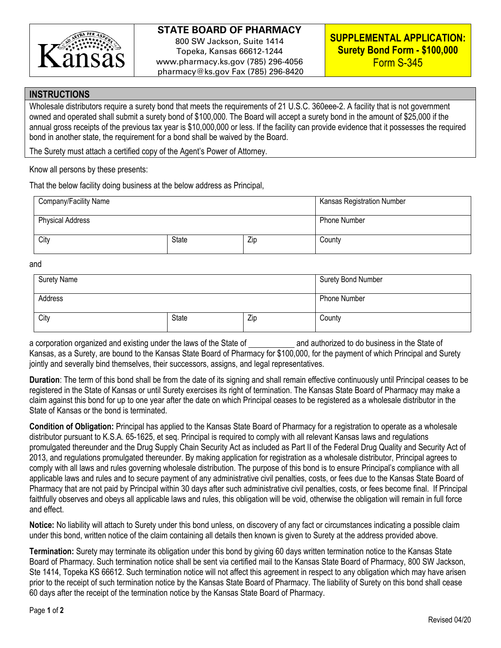

## **STATE BOARD OF PHARMACY**

800 SW Jackson, Suite 1414 Topeka, Kansas 66612-1244 www.pharmacy.ks.gov (785) 296-4056 pharmacy@ks.gov Fax (785) 296-8420

## **INSTRUCTIONS**

Wholesale distributors require a surety bond that meets the requirements of 21 U.S.C. 360eee-2. A facility that is not government owned and operated shall submit a surety bond of \$100,000. The Board will accept a surety bond in the amount of \$25,000 if the annual gross receipts of the previous tax year is \$10,000,000 or less. If the facility can provide evidence that it possesses the required bond in another state, the requirement for a bond shall be waived by the Board.

The Surety must attach a certified copy of the Agent's Power of Attorney.

Know all persons by these presents:

That the below facility doing business at the below address as Principal,

| Company/Facility Name   |              |     | <b>Kansas Registration Number</b> |
|-------------------------|--------------|-----|-----------------------------------|
| <b>Physical Address</b> |              |     | <b>Phone Number</b>               |
| City                    | <b>State</b> | Zip | County                            |

and

| <b>Surety Name</b> |              |     | <b>Surety Bond Number</b> |
|--------------------|--------------|-----|---------------------------|
| Address            |              |     | Phone Number              |
| City               | <b>State</b> | Zip | County                    |

a corporation organized and existing under the laws of the State of and authorized to do business in the State of Kansas, as a Surety, are bound to the Kansas State Board of Pharmacy for \$100,000, for the payment of which Principal and Surety jointly and severally bind themselves, their successors, assigns, and legal representatives.

**Duration**: The term of this bond shall be from the date of its signing and shall remain effective continuously until Principal ceases to be registered in the State of Kansas or until Surety exercises its right of termination. The Kansas State Board of Pharmacy may make a claim against this bond for up to one year after the date on which Principal ceases to be registered as a wholesale distributor in the State of Kansas or the bond is terminated.

**Condition of Obligation:** Principal has applied to the Kansas State Board of Pharmacy for a registration to operate as a wholesale distributor pursuant to K.S.A. 65-1625, et seq. Principal is required to comply with all relevant Kansas laws and regulations promulgated thereunder and the Drug Supply Chain Security Act as included as Part II of the Federal Drug Quality and Security Act of 2013, and regulations promulgated thereunder. By making application for registration as a wholesale distributor, Principal agrees to comply with all laws and rules governing wholesale distribution. The purpose of this bond is to ensure Principal's compliance with all applicable laws and rules and to secure payment of any administrative civil penalties, costs, or fees due to the Kansas State Board of Pharmacy that are not paid by Principal within 30 days after such administrative civil penalties, costs, or fees become final. If Principal faithfully observes and obeys all applicable laws and rules, this obligation will be void, otherwise the obligation will remain in full force and effect.

**Notice:** No liability will attach to Surety under this bond unless, on discovery of any fact or circumstances indicating a possible claim under this bond, written notice of the claim containing all details then known is given to Surety at the address provided above.

**Termination:** Surety may terminate its obligation under this bond by giving 60 days written termination notice to the Kansas State Board of Pharmacy. Such termination notice shall be sent via certified mail to the Kansas State Board of Pharmacy, 800 SW Jackson, Ste 1414, Topeka KS 66612. Such termination notice will not affect this agreement in respect to any obligation which may have arisen prior to the receipt of such termination notice by the Kansas State Board of Pharmacy. The liability of Surety on this bond shall cease 60 days after the receipt of the termination notice by the Kansas State Board of Pharmacy.